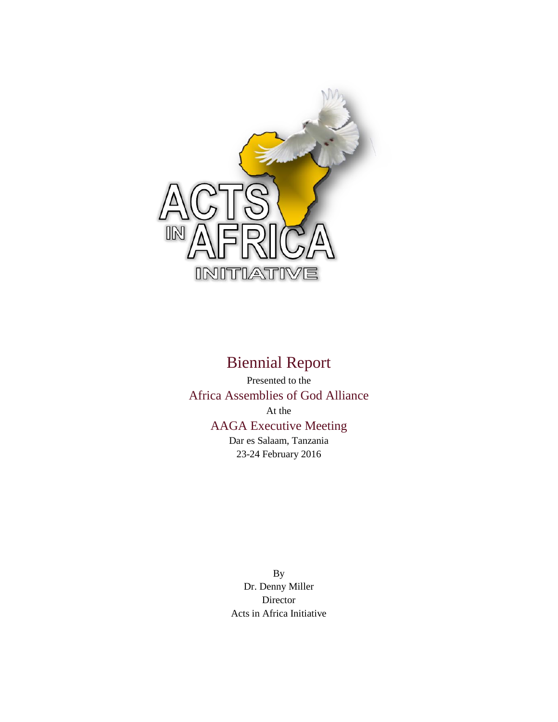

# Biennial Report

Presented to the Africa Assemblies of God Alliance At the AAGA Executive Meeting Dar es Salaam, Tanzania 23-24 February 2016

> By Dr. Denny Miller Director Acts in Africa Initiative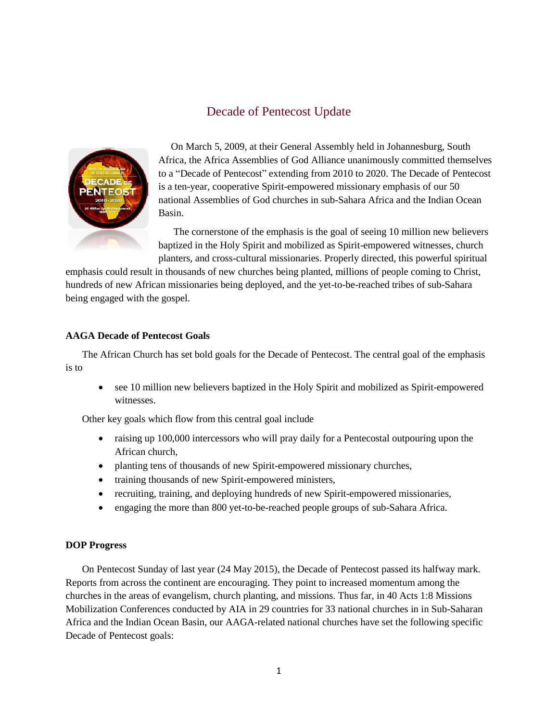# Decade of Pentecost Update



 On March 5, 2009, at their General Assembly held in Johannesburg, South Africa, the Africa Assemblies of God Alliance unanimously committed themselves to a "Decade of Pentecost" extending from 2010 to 2020. The Decade of Pentecost is a ten-year, cooperative Spirit-empowered missionary emphasis of our 50 national Assemblies of God churches in sub-Sahara Africa and the Indian Ocean Basin.

 The cornerstone of the emphasis is the goal of seeing 10 million new believers baptized in the Holy Spirit and mobilized as Spirit-empowered witnesses, church planters, and cross-cultural missionaries. Properly directed, this powerful spiritual

emphasis could result in thousands of new churches being planted, millions of people coming to Christ, hundreds of new African missionaries being deployed, and the yet-to-be-reached tribes of sub-Sahara being engaged with the gospel.

# **AAGA Decade of Pentecost Goals**

The African Church has set bold goals for the Decade of Pentecost. The central goal of the emphasis is to

 see 10 million new believers baptized in the Holy Spirit and mobilized as Spirit-empowered witnesses.

Other key goals which flow from this central goal include

- raising up 100,000 intercessors who will pray daily for a Pentecostal outpouring upon the African church,
- planting tens of thousands of new Spirit-empowered missionary churches,
- training thousands of new Spirit-empowered ministers,
- recruiting, training, and deploying hundreds of new Spirit-empowered missionaries,
- engaging the more than 800 yet-to-be-reached people groups of sub-Sahara Africa.

### **DOP Progress**

On Pentecost Sunday of last year (24 May 2015), the Decade of Pentecost passed its halfway mark. Reports from across the continent are encouraging. They point to increased momentum among the churches in the areas of evangelism, church planting, and missions. Thus far, in 40 Acts 1:8 Missions Mobilization Conferences conducted by AIA in 29 countries for 33 national churches in in Sub-Saharan Africa and the Indian Ocean Basin, our AAGA-related national churches have set the following specific Decade of Pentecost goals: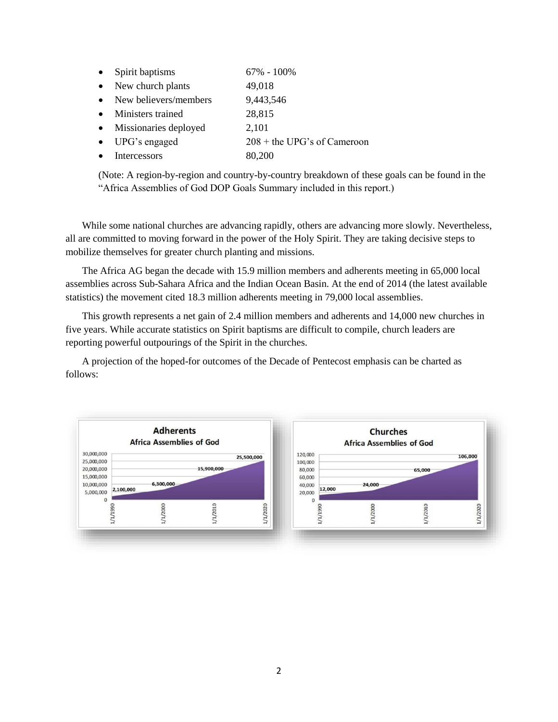| $\bullet$ | Spirit baptisms         | $67\% - 100\%$                |
|-----------|-------------------------|-------------------------------|
|           | • New church plants     | 49,018                        |
|           | • New believers/members | 9,443,546                     |
|           | • Ministers trained     | 28,815                        |
|           | • Missionaries deployed | 2,101                         |
| $\bullet$ | UPG's engaged           | $208 +$ the UPG's of Cameroon |
| $\bullet$ | Intercessors            | 80,200                        |
|           |                         |                               |

(Note: A region-by-region and country-by-country breakdown of these goals can be found in the "Africa Assemblies of God DOP Goals Summary included in this report.)

While some national churches are advancing rapidly, others are advancing more slowly. Nevertheless, all are committed to moving forward in the power of the Holy Spirit. They are taking decisive steps to mobilize themselves for greater church planting and missions.

The Africa AG began the decade with 15.9 million members and adherents meeting in 65,000 local assemblies across Sub-Sahara Africa and the Indian Ocean Basin. At the end of 2014 (the latest available statistics) the movement cited 18.3 million adherents meeting in 79,000 local assemblies.

This growth represents a net gain of 2.4 million members and adherents and 14,000 new churches in five years. While accurate statistics on Spirit baptisms are difficult to compile, church leaders are reporting powerful outpourings of the Spirit in the churches.

A projection of the hoped-for outcomes of the Decade of Pentecost emphasis can be charted as follows:

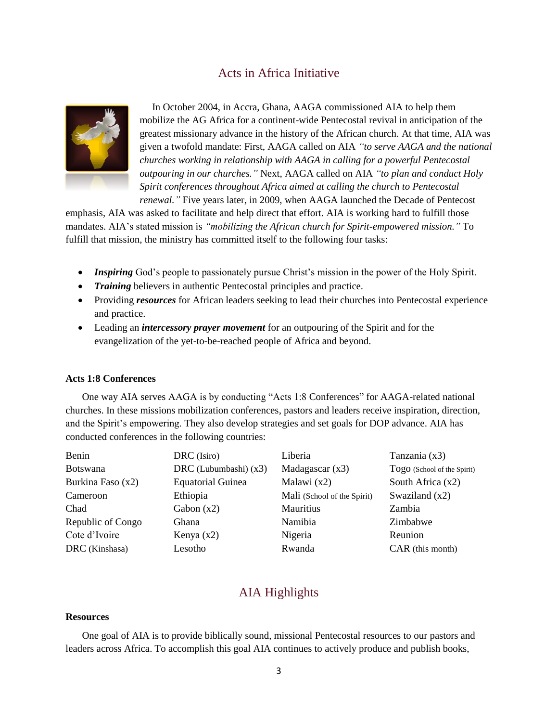# Acts in Africa Initiative



 In October 2004, in Accra, Ghana, AAGA commissioned AIA to help them mobilize the AG Africa for a continent-wide Pentecostal revival in anticipation of the greatest missionary advance in the history of the African church. At that time, AIA was given a twofold mandate: First, AAGA called on AIA *"to serve AAGA and the national churches working in relationship with AAGA in calling for a powerful Pentecostal outpouring in our churches."* Next, AAGA called on AIA *"to plan and conduct Holy Spirit conferences throughout Africa aimed at calling the church to Pentecostal renewal."* Five years later, in 2009, when AAGA launched the Decade of Pentecost

emphasis, AIA was asked to facilitate and help direct that effort. AIA is working hard to fulfill those mandates. AIA's stated mission is *"mobilizing the African church for Spirit-empowered mission."* To fulfill that mission, the ministry has committed itself to the following four tasks:

- *Inspiring* God's people to passionately pursue Christ's mission in the power of the Holy Spirit.
- *Training* believers in authentic Pentecostal principles and practice.
- Providing *resources* for African leaders seeking to lead their churches into Pentecostal experience and practice.
- Leading an *intercessory prayer movement* for an outpouring of the Spirit and for the evangelization of the yet-to-be-reached people of Africa and beyond.

#### **Acts 1:8 Conferences**

One way AIA serves AAGA is by conducting "Acts 1:8 Conferences" for AAGA-related national churches. In these missions mobilization conferences, pastors and leaders receive inspiration, direction, and the Spirit's empowering. They also develop strategies and set goals for DOP advance. AIA has conducted conferences in the following countries:

| Benin             | DRC (Isiro)              | Liberia                     | Tanzania $(x3)$             |
|-------------------|--------------------------|-----------------------------|-----------------------------|
| <b>Botswana</b>   | DRC (Lubumbashi) $(x3)$  | Madagascar $(x3)$           | Togo (School of the Spirit) |
| Burkina Faso (x2) | <b>Equatorial Guinea</b> | Malawi $(x2)$               | South Africa $(x2)$         |
| Cameroon          | Ethiopia                 | Mali (School of the Spirit) | Swaziland $(x2)$            |
| Chad              | Gabon $(x2)$             | Mauritius                   | Zambia                      |
| Republic of Congo | Ghana                    | Namibia                     | Zimbabwe                    |
| Cote d'Ivoire     | Kenya $(x2)$             | Nigeria                     | Reunion                     |
| DRC (Kinshasa)    | Lesotho                  | Rwanda                      | CAR (this month)            |

# AIA Highlights

# **Resources**

One goal of AIA is to provide biblically sound, missional Pentecostal resources to our pastors and leaders across Africa. To accomplish this goal AIA continues to actively produce and publish books,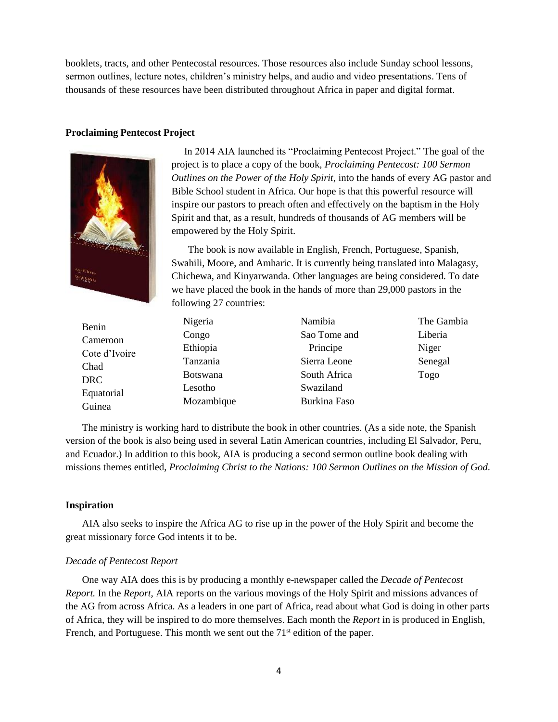booklets, tracts, and other Pentecostal resources. Those resources also include Sunday school lessons, sermon outlines, lecture notes, children's ministry helps, and audio and video presentations. Tens of thousands of these resources have been distributed throughout Africa in paper and digital format.

#### **Proclaiming Pentecost Project**



 In 2014 AIA launched its "Proclaiming Pentecost Project." The goal of the project is to place a copy of the book, *Proclaiming Pentecost: 100 Sermon Outlines on the Power of the Holy Spirit,* into the hands of every AG pastor and Bible School student in Africa. Our hope is that this powerful resource will inspire our pastors to preach often and effectively on the baptism in the Holy Spirit and that, as a result, hundreds of thousands of AG members will be empowered by the Holy Spirit.

The book is now available in English, French, Portuguese, Spanish, Swahili, Moore, and Amharic. It is currently being translated into Malagasy, Chichewa, and Kinyarwanda. Other languages are being considered. To date we have placed the book in the hands of more than 29,000 pastors in the following 27 countries:

| Benin         | Nigeria         | Namibia      | The Gambia |
|---------------|-----------------|--------------|------------|
| Cameroon      | Congo           | Sao Tome and | Liberia    |
| Cote d'Ivoire | Ethiopia        | Principe     | Niger      |
| Chad          | Tanzania        | Sierra Leone | Senegal    |
| <b>DRC</b>    | <b>Botswana</b> | South Africa | Togo       |
| Equatorial    | Lesotho         | Swaziland    |            |
| Guinea        | Mozambique      | Burkina Faso |            |

The ministry is working hard to distribute the book in other countries. (As a side note, the Spanish version of the book is also being used in several Latin American countries, including El Salvador, Peru, and Ecuador.) In addition to this book, AIA is producing a second sermon outline book dealing with missions themes entitled, *Proclaiming Christ to the Nations: 100 Sermon Outlines on the Mission of God.*

### **Inspiration**

AIA also seeks to inspire the Africa AG to rise up in the power of the Holy Spirit and become the great missionary force God intents it to be.

### *Decade of Pentecost Report*

One way AIA does this is by producing a monthly e-newspaper called the *Decade of Pentecost Report.* In the *Report*, AIA reports on the various movings of the Holy Spirit and missions advances of the AG from across Africa. As a leaders in one part of Africa, read about what God is doing in other parts of Africa, they will be inspired to do more themselves. Each month the *Report* in is produced in English, French, and Portuguese. This month we sent out the  $71<sup>st</sup>$  edition of the paper.